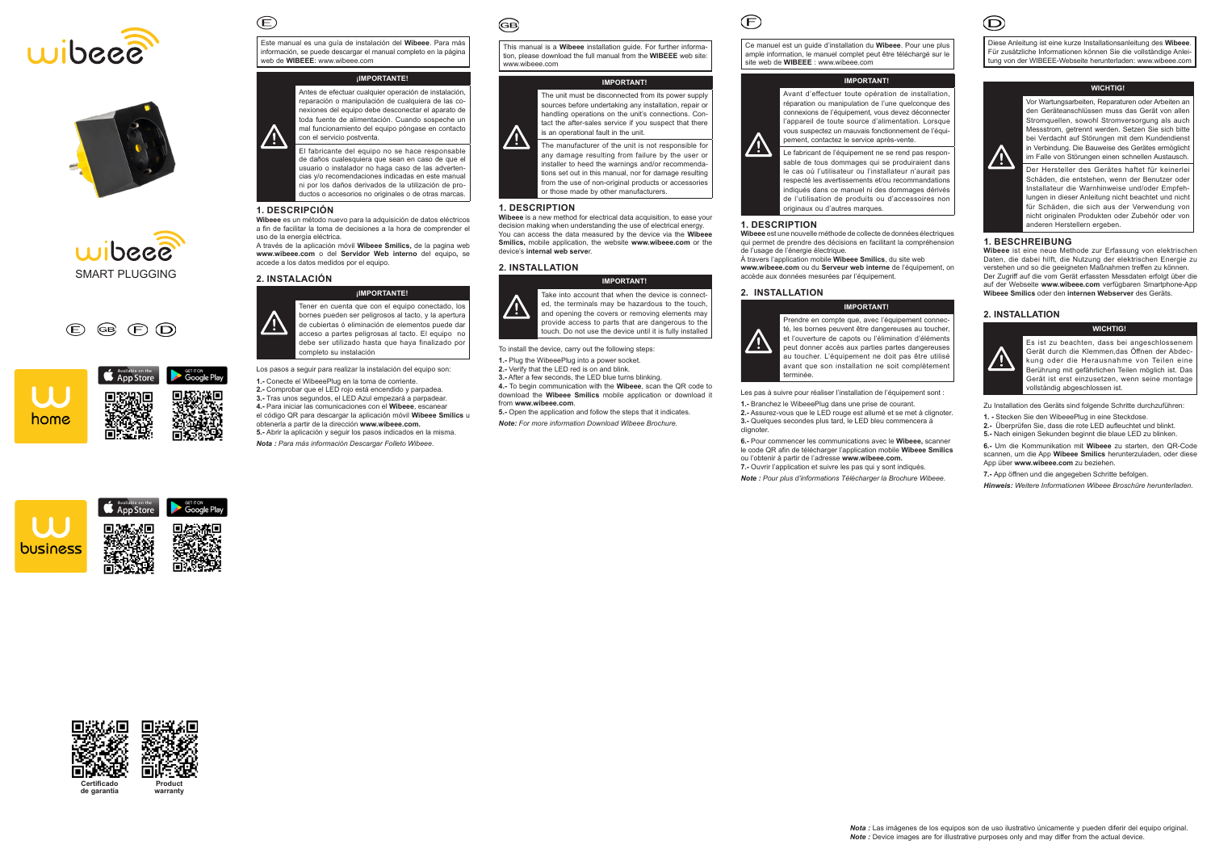Este manual es una guía de instalación del **Wibeee**. Para más información, se puede descargar el manual completo en la página web de **WIBEEE**: www.wibeee.com

# **¡IMPORTANTE!**



El fabricante del equipo no se hace responsable de daños cualesquiera que sean en caso de que el usuario o instalador no haga caso de las advertencias y/o recomendaciones indicadas en este manual ni por los daños derivados de la utilización de productos o accesorios no originales o de otras marcas.

### **1. DESCRIPCIÓN**

 $\mathbf{E}$ 

**Wibeee** es un método nuevo para la adquisición de datos eléctricos a fin de facilitar la toma de decisiones a la hora de comprender el uso de la energía eléctrica.

A través de la aplicación móvil **Wibeee Smilics,** de la pagina web **www.wibeee.com** o del **Servidor Web interno** del equipo**,** se accede a los datos medidos por el equipo.

### **2. INSTALACIÓN**



Los pasos a seguir para realizar la instalación del equipo son: **1.-** Conecte el WibeeePlug en la toma de corriente. **2.-** Comprobar que el LED rojo está encendido y parpadea. **3.-** Tras unos segundos, el LED Azul empezará a parpadear. **4.-** Para iniciar las comunicaciones con el **Wibeee**, escanear el código QR para descargar la aplicación móvil **Wibeee Smilics** u obtenerla a partir de la dirección **www.wibeee.com. 5.-** Abrir la aplicación y seguir los pasos indicados en la misma.

*Nota : Para más información Descargar Folleto Wibeee.*

බෙ

This manual is a **Wibeee** installation guide. For further information, please download the full manual from the **WIBEEE** web site: www.wibeee.com

#### **IMPORTANT!**



The unit must be disconnected from its power supply sources before undertaking any installation, repair or handling operations on the unit's connections. Contact the after-sales service if you suspect that there is an operational fault in the unit.

The manufacturer of the unit is not responsible for any damage resulting from failure by the user or installer to heed the warnings and/or recommendations set out in this manual, nor for damage resulting from the use of non-original products or accessories or those made by other manufacturers.

#### **1. DESCRIPTION**

**Wibeee** is a new method for electrical data acquisition, to ease your decision making when understanding the use of electrical energy. You can access the data measured by the device via the **Wibeee Smilics,** mobile application, the website **www.wibeee.com** or the device's **internal web serve**r.

### **2. INSTALLATION**



**IMPORTANT!**

Take into account that when the device is connected, the terminals may be hazardous to the touch, and opening the covers or removing elements may provide access to parts that are dangerous to the touch. Do not use the device until it is fully installed

To install the device, carry out the following steps:

**1.-** Plug the WibeeePlug into a power socket.

**2.-** Verify that the LED red is on and blink.

**3.-** After a few seconds, the LED blue turns blinking. **4.-** To begin communication with the **Wibeee**, scan the QR code to

download the **Wibeee Smilics** mobile application or download it

from **www.wibeee.com**.

**5.-** Open the application and follow the steps that it indicates.

*Note: For more information Download Wibeee Brochure.*

Ce manuel est un guide d'installation du **Wibeee**. Pour une plus ample information, le manuel complet peut être téléchargé sur le site web de **WIBEEE** : www.wibeee.com

# **IMPORTANT!**

Avant d'effectuer toute opération de installation, réparation ou manipulation de l'une quelconque des connexions de l'équipement, vous devez déconnecter l'appareil de toute source d'alimentation. Lorsque vous suspectez un mauvais fonctionnement de l'équipement, contactez le service après-vente.

Le fabricant de l'équipement ne se rend pas responsable de tous dommages qui se produiraient dans le cas où l'utilisateur ou l'installateur n'aurait pas respecté les avertissements et/ou recommandations indiqués dans ce manuel ni des dommages dérivés de l'utilisation de produits ou d'accessoires non originaux ou d'autres marques.

### **1. DESCRIPTION**

**Wibeee** est une nouvelle méthode de collecte de données électriques qui permet de prendre des décisions en facilitant la compréhension de l'usage de l'énergie électrique.

À travers l'application mobile **Wibeee Smilics**, du site web **www.wibeee.com** ou du **Serveur web interne** de l'équipement, on accède aux données mesurées par l'équipement.

### **2. INSTALLATION**



 $\mathcal{F}$ 

**IMPORTANT!**

Prendre en compte que, avec l'équipement connecté, les bornes peuvent être dangereuses au toucher et l'ouverture de capots ou l'élimination d'éléments peut donner accès aux parties partes dangereuses au toucher. L'équipement ne doit pas être utilisé avant que son installation ne soit complètement terminée.

Les pas à suivre pour réaliser l'installation de l'équipement sont :

**1.-** Branchez le WibeeePlug dans une prise de courant. **2.-** Assurez-vous que le LED rouge est allumé et se met à clignoter. **3.-** Quelques secondes plus tard, le LED bleu commencera à clignoter.

**6.-** Pour commencer les communications avec le **Wibeee,** scanner le code QR afin de télécharger l'application mobile **Wibeee Smilics**  ou l'obtenir à partir de l'adresse **www.wibeee.com. 7.-** Ouvrir l'application et suivre les pas qui y sont indiqués.

*Note : Pour plus d'informations Télécharger la Brochure Wibeee.*



Diese Anleitung ist eine kurze Installationsanleitung des **Wibeee**. Für zusätzliche Informationen können Sie die vollständige Anleitung von der WIBEEE-Webseite herunterladen: www.wibeee.com

## **WICHTIG!**



 $\circled{D}$ 

Vor Wartungsarbeiten, Reparaturen oder Arbeiten an den Geräteanschlüssen muss das Gerät von allen Stromquellen, sowohl Stromversorgung als auch Messstrom, getrennt werden. Setzen Sie sich bitte bei Verdacht auf Störungen mit dem Kundendienst in Verbindung. Die Bauweise des Gerätes ermöglicht im Falle von Störungen einen schnellen Austausch. Der Hersteller des Gerätes haftet für keinerlei Schäden, die entstehen, wenn der Benutzer oder Installateur die Warnhinweise und/oder Empfehlungen in dieser Anleitung nicht beachtet und nicht für Schäden, die sich aus der Verwendung von nicht originalen Produkten oder Zubehör oder von anderen Herstellern ergeben.

# **1. BESCHREIBUNG**

**Wibeee** ist eine neue Methode zur Erfassung von elektrischen Daten, die dabei hilft, die Nutzung der elektrischen Energie zu verstehen und so die geeigneten Maßnahmen treffen zu können. Der Zugriff auf die vom Gerät erfassten Messdaten erfolgt über die auf der Webseite **www.wibeee.com** verfügbaren Smartphone-App **Wibeee Smilics** oder den **internen Webserver** des Geräts.

# **2. INSTALLATION**



**WICHTIG!** Es ist zu beachten, dass bei angeschlossenem Gerät durch die Klemmen,das Öffnen der Abdeckung oder die Herausnahme von Teilen eine Berührung mit gefährlichen Teilen möglich ist. Das Gerät ist erst einzusetzen, wenn seine montage vollständig abgeschlossen ist.

Zu Installation des Geräts sind folgende Schritte durchzuführen:

- **1. -** Stecken Sie den WibeeePlug in eine Steckdose.
- **2.-** Überprüfen Sie, dass die rote LED aufleuchtet und blinkt.
- **5.-** Nach einigen Sekunden beginnt die blaue LED zu blinken.

**6.-** Um die Kommunikation mit **Wibeee** zu starten, den QR-Code scannen, um die App **Wibeee Smilics** herunterzuladen, oder diese App über **www.wibeee.com** zu beziehen.

**7.-** App öffnen und die angegeben Schritte befolgen.

*Hinweis: Weitere Informationen Wibeee Broschüre herunterladen.*









 $\circledcirc$  (F)  $\circledcirc$ 

|      | Available on the App Store | GET IT ON<br><b>Google Play</b> |
|------|----------------------------|---------------------------------|
| home |                            |                                 |

**Certificado de garantía Product warranty**